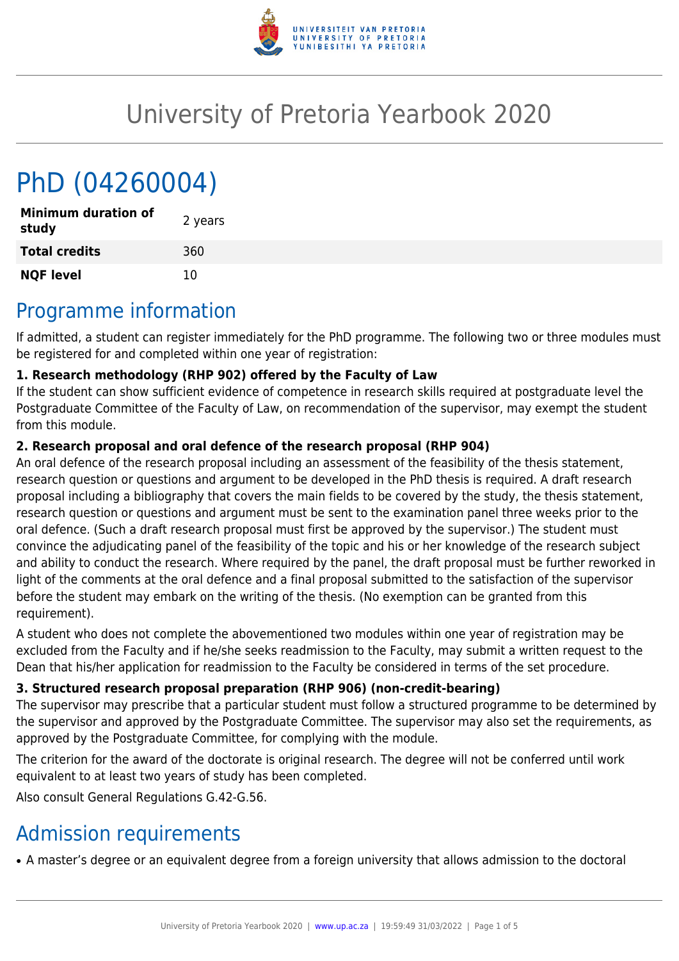

# University of Pretoria Yearbook 2020

# PhD (04260004)

| <b>Minimum duration of</b><br>study | 2 years |
|-------------------------------------|---------|
| <b>Total credits</b>                | 360     |
| <b>NQF level</b>                    | 10      |

## Programme information

If admitted, a student can register immediately for the PhD programme. The following two or three modules must be registered for and completed within one year of registration:

#### **1. Research methodology (RHP 902) offered by the Faculty of Law**

If the student can show sufficient evidence of competence in research skills required at postgraduate level the Postgraduate Committee of the Faculty of Law, on recommendation of the supervisor, may exempt the student from this module.

#### **2. Research proposal and oral defence of the research proposal (RHP 904)**

An oral defence of the research proposal including an assessment of the feasibility of the thesis statement, research question or questions and argument to be developed in the PhD thesis is required. A draft research proposal including a bibliography that covers the main fields to be covered by the study, the thesis statement, research question or questions and argument must be sent to the examination panel three weeks prior to the oral defence. (Such a draft research proposal must first be approved by the supervisor.) The student must convince the adjudicating panel of the feasibility of the topic and his or her knowledge of the research subject and ability to conduct the research. Where required by the panel, the draft proposal must be further reworked in light of the comments at the oral defence and a final proposal submitted to the satisfaction of the supervisor before the student may embark on the writing of the thesis. (No exemption can be granted from this requirement).

A student who does not complete the abovementioned two modules within one year of registration may be excluded from the Faculty and if he/she seeks readmission to the Faculty, may submit a written request to the Dean that his/her application for readmission to the Faculty be considered in terms of the set procedure.

#### **3. Structured research proposal preparation (RHP 906) (non-credit-bearing)**

The supervisor may prescribe that a particular student must follow a structured programme to be determined by the supervisor and approved by the Postgraduate Committee. The supervisor may also set the requirements, as approved by the Postgraduate Committee, for complying with the module.

The criterion for the award of the doctorate is original research. The degree will not be conferred until work equivalent to at least two years of study has been completed.

Also consult General Regulations G.42-G.56.

## Admission requirements

• A master's degree or an equivalent degree from a foreign university that allows admission to the doctoral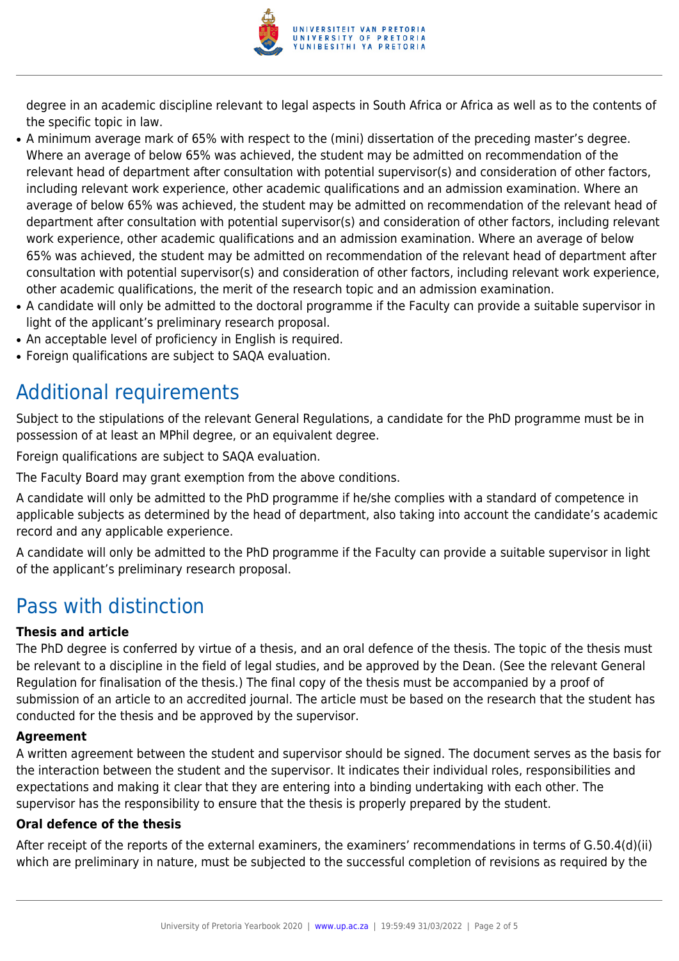

degree in an academic discipline relevant to legal aspects in South Africa or Africa as well as to the contents of the specific topic in law.

- A minimum average mark of 65% with respect to the (mini) dissertation of the preceding master's degree. Where an average of below 65% was achieved, the student may be admitted on recommendation of the relevant head of department after consultation with potential supervisor(s) and consideration of other factors, including relevant work experience, other academic qualifications and an admission examination. Where an average of below 65% was achieved, the student may be admitted on recommendation of the relevant head of department after consultation with potential supervisor(s) and consideration of other factors, including relevant work experience, other academic qualifications and an admission examination. Where an average of below 65% was achieved, the student may be admitted on recommendation of the relevant head of department after consultation with potential supervisor(s) and consideration of other factors, including relevant work experience, other academic qualifications, the merit of the research topic and an admission examination.
- A candidate will only be admitted to the doctoral programme if the Faculty can provide a suitable supervisor in light of the applicant's preliminary research proposal.
- An acceptable level of proficiency in English is required.
- Foreign qualifications are subject to SAQA evaluation.

### Additional requirements

Subject to the stipulations of the relevant General Regulations, a candidate for the PhD programme must be in possession of at least an MPhil degree, or an equivalent degree.

Foreign qualifications are subject to SAQA evaluation.

The Faculty Board may grant exemption from the above conditions.

A candidate will only be admitted to the PhD programme if he/she complies with a standard of competence in applicable subjects as determined by the head of department, also taking into account the candidate's academic record and any applicable experience.

A candidate will only be admitted to the PhD programme if the Faculty can provide a suitable supervisor in light of the applicant's preliminary research proposal.

### Pass with distinction

#### **Thesis and article**

The PhD degree is conferred by virtue of a thesis, and an oral defence of the thesis. The topic of the thesis must be relevant to a discipline in the field of legal studies, and be approved by the Dean. (See the relevant General Regulation for finalisation of the thesis.) The final copy of the thesis must be accompanied by a proof of submission of an article to an accredited journal. The article must be based on the research that the student has conducted for the thesis and be approved by the supervisor.

#### **Agreement**

A written agreement between the student and supervisor should be signed. The document serves as the basis for the interaction between the student and the supervisor. It indicates their individual roles, responsibilities and expectations and making it clear that they are entering into a binding undertaking with each other. The supervisor has the responsibility to ensure that the thesis is properly prepared by the student.

#### **Oral defence of the thesis**

After receipt of the reports of the external examiners, the examiners' recommendations in terms of G.50.4(d)(ii) which are preliminary in nature, must be subjected to the successful completion of revisions as required by the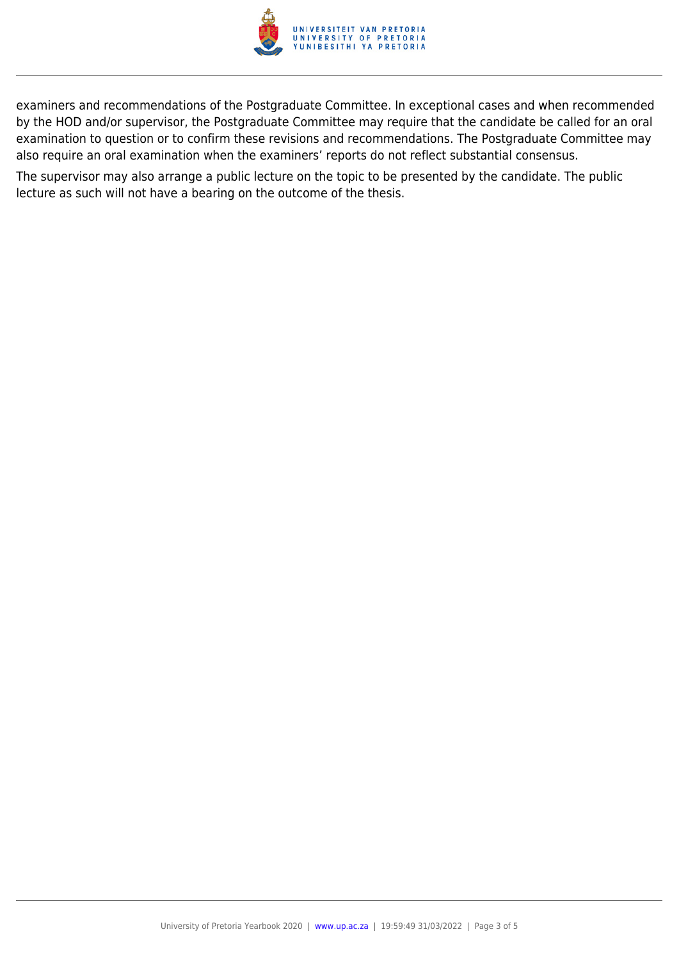

examiners and recommendations of the Postgraduate Committee. In exceptional cases and when recommended by the HOD and/or supervisor, the Postgraduate Committee may require that the candidate be called for an oral examination to question or to confirm these revisions and recommendations. The Postgraduate Committee may also require an oral examination when the examiners' reports do not reflect substantial consensus.

The supervisor may also arrange a public lecture on the topic to be presented by the candidate. The public lecture as such will not have a bearing on the outcome of the thesis.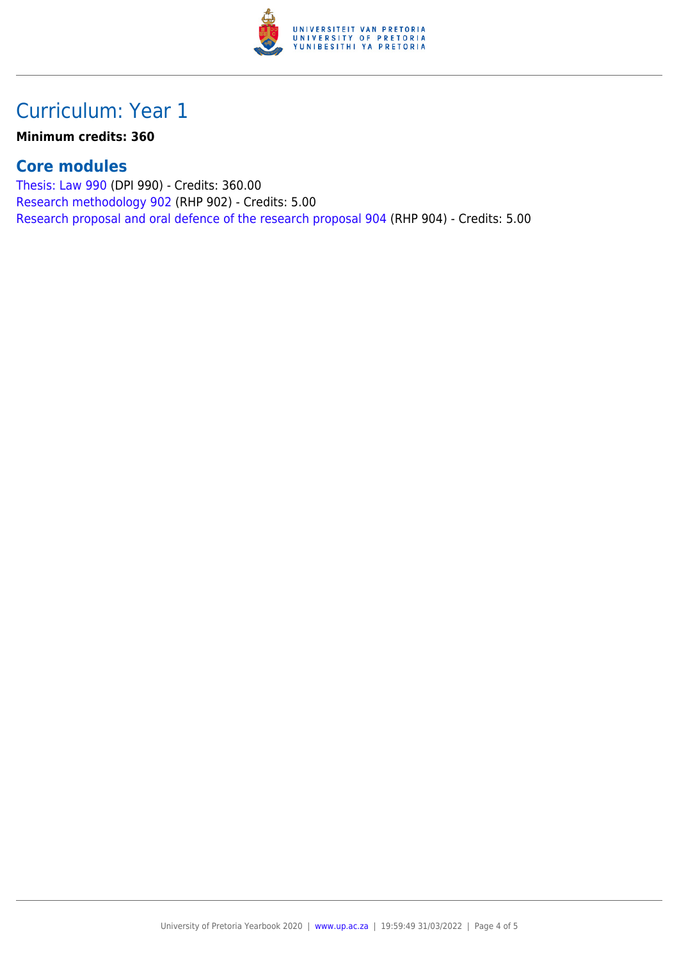

## Curriculum: Year 1

**Minimum credits: 360**

### **Core modules**

[Thesis: Law 990](https://www.up.ac.za/parents/yearbooks/2020/modules/view/DPI 990) (DPI 990) - Credits: 360.00 [Research methodology 902](https://www.up.ac.za/parents/yearbooks/2020/modules/view/RHP 902) (RHP 902) - Credits: 5.00 [Research proposal and oral defence of the research proposal 904](https://www.up.ac.za/parents/yearbooks/2020/modules/view/RHP 904) (RHP 904) - Credits: 5.00